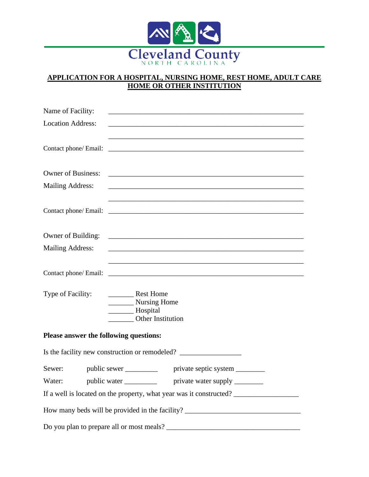

## **APPLICATION FOR A HOSPITAL, NURSING HOME, REST HOME, ADULT CARE HOME OR OTHER INSTITUTION**

| Name of Facility:                      |                                                                                  |                                                                                                                       |
|----------------------------------------|----------------------------------------------------------------------------------|-----------------------------------------------------------------------------------------------------------------------|
| <b>Location Address:</b>               |                                                                                  |                                                                                                                       |
|                                        |                                                                                  |                                                                                                                       |
|                                        |                                                                                  |                                                                                                                       |
|                                        |                                                                                  |                                                                                                                       |
|                                        |                                                                                  |                                                                                                                       |
| <b>Mailing Address:</b>                |                                                                                  |                                                                                                                       |
|                                        |                                                                                  |                                                                                                                       |
|                                        |                                                                                  |                                                                                                                       |
|                                        |                                                                                  |                                                                                                                       |
| Owner of Building:                     |                                                                                  |                                                                                                                       |
| <b>Mailing Address:</b>                |                                                                                  |                                                                                                                       |
|                                        |                                                                                  |                                                                                                                       |
| Contact phone/ Email:                  |                                                                                  | <u> 1989 - Johann Harry Harry Harry Harry Harry Harry Harry Harry Harry Harry Harry Harry Harry Harry Harry Harry</u> |
| Type of Facility:                      | Rest Home                                                                        |                                                                                                                       |
| Nursing Home                           |                                                                                  |                                                                                                                       |
|                                        | Hospital<br>Other Institution                                                    |                                                                                                                       |
|                                        |                                                                                  |                                                                                                                       |
| Please answer the following questions: |                                                                                  |                                                                                                                       |
|                                        | Is the facility new construction or remodeled? _________________________________ |                                                                                                                       |
|                                        | Sewer: public sewer ____________ private septic system ________                  |                                                                                                                       |
| Water:                                 | public water ____________ private water supply _______                           |                                                                                                                       |
|                                        |                                                                                  | If a well is located on the property, what year was it constructed?                                                   |
|                                        |                                                                                  | How many beds will be provided in the facility? _________________________________                                     |
|                                        |                                                                                  |                                                                                                                       |